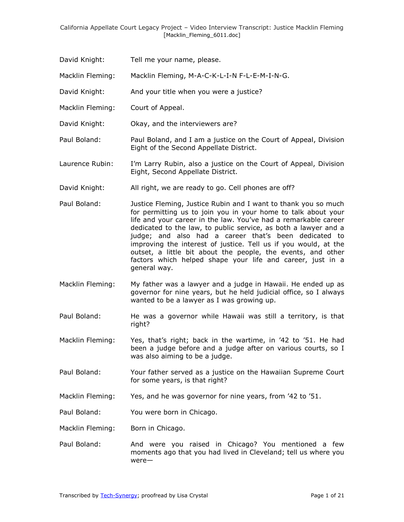- David Knight: Tell me your name, please.
- Macklin Fleming: Macklin Fleming, M-A-C-K-L-I-N F-L-E-M-I-N-G.
- David Knight: And your title when you were a justice?
- Macklin Fleming: Court of Appeal.
- David Knight: Okay, and the interviewers are?
- Paul Boland: Paul Boland, and I am a justice on the Court of Appeal, Division Eight of the Second Appellate District.
- Laurence Rubin: I'm Larry Rubin, also a justice on the Court of Appeal, Division Eight, Second Appellate District.
- David Knight: All right, we are ready to go. Cell phones are off?
- Paul Boland: Justice Fleming, Justice Rubin and I want to thank you so much for permitting us to join you in your home to talk about your life and your career in the law. You've had a remarkable career dedicated to the law, to public service, as both a lawyer and a judge; and also had a career that's been dedicated to improving the interest of justice. Tell us if you would, at the outset, a little bit about the people, the events, and other factors which helped shape your life and career, just in a general way.
- Macklin Fleming: My father was a lawyer and a judge in Hawaii. He ended up as governor for nine years, but he held judicial office, so I always wanted to be a lawyer as I was growing up.
- Paul Boland: He was a governor while Hawaii was still a territory, is that right?
- Macklin Fleming: Yes, that's right; back in the wartime, in '42 to '51. He had been a judge before and a judge after on various courts, so I was also aiming to be a judge.
- Paul Boland: Your father served as a justice on the Hawaiian Supreme Court for some years, is that right?
- Macklin Fleming: Yes, and he was governor for nine years, from '42 to '51.
- Paul Boland: You were born in Chicago.

Macklin Fleming: Born in Chicago.

Paul Boland: And were you raised in Chicago? You mentioned a few moments ago that you had lived in Cleveland; tell us where you were—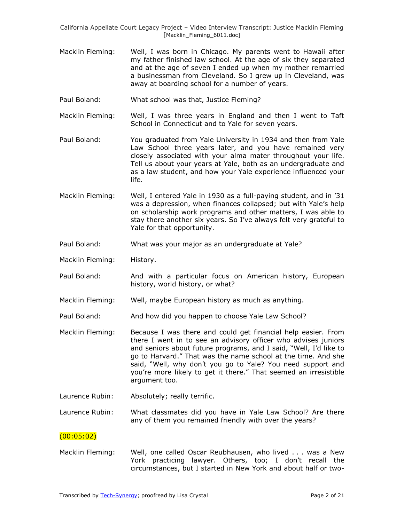- Macklin Fleming: Well, I was born in Chicago. My parents went to Hawaii after my father finished law school. At the age of six they separated and at the age of seven I ended up when my mother remarried a businessman from Cleveland. So I grew up in Cleveland, was away at boarding school for a number of years.
- Paul Boland: What school was that, Justice Fleming?
- Macklin Fleming: Well, I was three years in England and then I went to Taft School in Connecticut and to Yale for seven years.
- Paul Boland: You graduated from Yale University in 1934 and then from Yale Law School three years later, and you have remained very closely associated with your alma mater throughout your life. Tell us about your years at Yale, both as an undergraduate and as a law student, and how your Yale experience influenced your life.
- Macklin Fleming: Well, I entered Yale in 1930 as a full-paying student, and in '31 was a depression, when finances collapsed; but with Yale's help on scholarship work programs and other matters, I was able to stay there another six years. So I've always felt very grateful to Yale for that opportunity.
- Paul Boland: What was your major as an undergraduate at Yale?
- Macklin Fleming: History.
- Paul Boland: And with a particular focus on American history, European history, world history, or what?
- Macklin Fleming: Well, maybe European history as much as anything.
- Paul Boland: And how did you happen to choose Yale Law School?
- Macklin Fleming: Because I was there and could get financial help easier. From there I went in to see an advisory officer who advises juniors and seniors about future programs, and I said, "Well, I'd like to go to Harvard." That was the name school at the time. And she said, "Well, why don't you go to Yale? You need support and you're more likely to get it there." That seemed an irresistible argument too.
- Laurence Rubin: Absolutely; really terrific.

Laurence Rubin: What classmates did you have in Yale Law School? Are there any of them you remained friendly with over the years?

#### $(00:05:02)$

Macklin Fleming: Well, one called Oscar Reubhausen, who lived . . . was a New York practicing lawyer. Others, too; I don't recall the circumstances, but I started in New York and about half or two-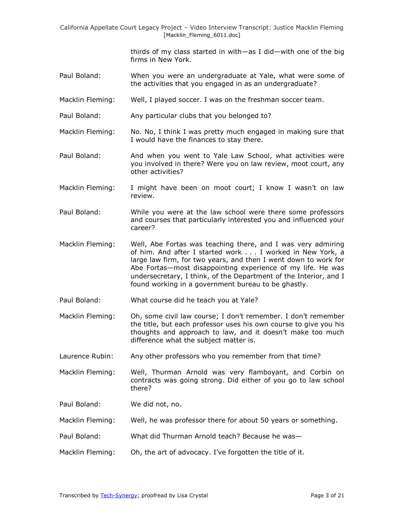> thirds of my class started in with—as I did—with one of the big firms in New York.

- Paul Boland: When you were an undergraduate at Yale, what were some of the activities that you engaged in as an undergraduate?
- Macklin Fleming: Well, I played soccer. I was on the freshman soccer team.
- Paul Boland: Any particular clubs that you belonged to?

Macklin Fleming: No. No, I think I was pretty much engaged in making sure that I would have the finances to stay there.

- Paul Boland: And when you went to Yale Law School, what activities were you involved in there? Were you on law review, moot court, any other activities?
- Macklin Fleming: I might have been on moot court; I know I wasn't on law review.
- Paul Boland: While you were at the law school were there some professors and courses that particularly interested you and influenced your career?
- Macklin Fleming: Well, Abe Fortas was teaching there, and I was very admiring of him. And after I started work . . . I worked in New York, a large law firm, for two years, and then I went down to work for Abe Fortas—most disappointing experience of my life. He was undersecretary, I think, of the Department of the Interior, and I found working in a government bureau to be ghastly.
- Paul Boland: What course did he teach you at Yale?
- Macklin Fleming: Oh, some civil law course; I don't remember. I don't remember the title, but each professor uses his own course to give you his thoughts and approach to law, and it doesn't make too much difference what the subject matter is.
- Laurence Rubin: Any other professors who you remember from that time?

Macklin Fleming: Well, Thurman Arnold was very flamboyant, and Corbin on contracts was going strong. Did either of you go to law school there?

Paul Boland: We did not, no.

- Macklin Fleming: Well, he was professor there for about 50 years or something.
- Paul Boland: What did Thurman Arnold teach? Because he was—
- Macklin Fleming: Oh, the art of advocacy. I've forgotten the title of it.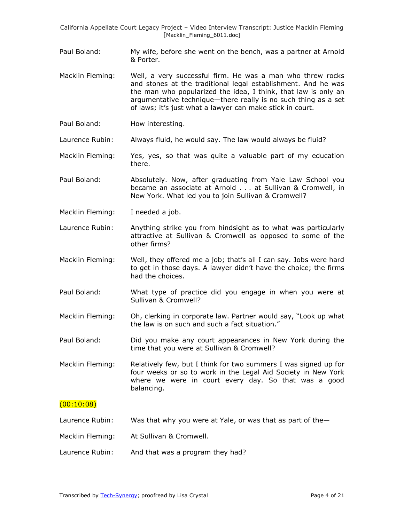- Paul Boland: My wife, before she went on the bench, was a partner at Arnold & Porter.
- Macklin Fleming: Well, a very successful firm. He was a man who threw rocks and stones at the traditional legal establishment. And he was the man who popularized the idea, I think, that law is only an argumentative technique—there really is no such thing as a set of laws; it's just what a lawyer can make stick in court.
- Paul Boland: How interesting.

Laurence Rubin: Always fluid, he would say. The law would always be fluid?

Macklin Fleming: Yes, yes, so that was quite a valuable part of my education there.

Paul Boland: Absolutely. Now, after graduating from Yale Law School you became an associate at Arnold . . . at Sullivan & Cromwell, in New York. What led you to join Sullivan & Cromwell?

Macklin Fleming: I needed a job.

- Laurence Rubin: Anything strike you from hindsight as to what was particularly attractive at Sullivan & Cromwell as opposed to some of the other firms?
- Macklin Fleming: Well, they offered me a job; that's all I can say. Jobs were hard to get in those days. A lawyer didn't have the choice; the firms had the choices.
- Paul Boland: What type of practice did you engage in when you were at Sullivan & Cromwell?
- Macklin Fleming: Oh, clerking in corporate law. Partner would say, "Look up what the law is on such and such a fact situation."
- Paul Boland: Did you make any court appearances in New York during the time that you were at Sullivan & Cromwell?
- Macklin Fleming: Relatively few, but I think for two summers I was signed up for four weeks or so to work in the Legal Aid Society in New York where we were in court every day. So that was a good balancing.

## $(00:10:08)$

- Laurence Rubin: Was that why you were at Yale, or was that as part of the-
- Macklin Fleming: At Sullivan & Cromwell.
- Laurence Rubin: And that was a program they had?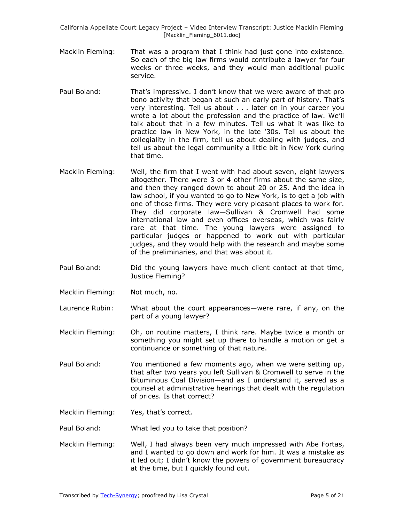- Macklin Fleming: That was a program that I think had just gone into existence. So each of the big law firms would contribute a lawyer for four weeks or three weeks, and they would man additional public service.
- Paul Boland: That's impressive. I don't know that we were aware of that pro bono activity that began at such an early part of history. That's very interesting. Tell us about . . . later on in your career you wrote a lot about the profession and the practice of law. We'll talk about that in a few minutes. Tell us what it was like to practice law in New York, in the late '30s. Tell us about the collegiality in the firm, tell us about dealing with judges, and tell us about the legal community a little bit in New York during that time.
- Macklin Fleming: Well, the firm that I went with had about seven, eight lawyers altogether. There were 3 or 4 other firms about the same size, and then they ranged down to about 20 or 25. And the idea in law school, if you wanted to go to New York, is to get a job with one of those firms. They were very pleasant places to work for. They did corporate law—Sullivan & Cromwell had some international law and even offices overseas, which was fairly rare at that time. The young lawyers were assigned to particular judges or happened to work out with particular judges, and they would help with the research and maybe some of the preliminaries, and that was about it.
- Paul Boland: Did the young lawyers have much client contact at that time, Justice Fleming?
- Macklin Fleming: Not much, no.
- Laurence Rubin: What about the court appearances—were rare, if any, on the part of a young lawyer?
- Macklin Fleming: Oh, on routine matters, I think rare. Maybe twice a month or something you might set up there to handle a motion or get a continuance or something of that nature.
- Paul Boland: You mentioned a few moments ago, when we were setting up, that after two years you left Sullivan & Cromwell to serve in the Bituminous Coal Division—and as I understand it, served as a counsel at administrative hearings that dealt with the regulation of prices. Is that correct?
- Macklin Fleming: Yes, that's correct.

Paul Boland: What led you to take that position?

Macklin Fleming: Well, I had always been very much impressed with Abe Fortas, and I wanted to go down and work for him. It was a mistake as it led out; I didn't know the powers of government bureaucracy at the time, but I quickly found out.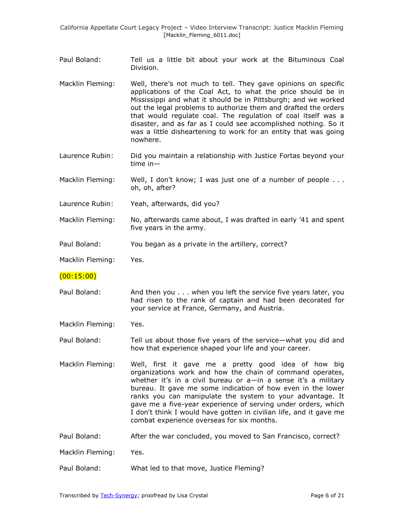- Paul Boland: Tell us a little bit about your work at the Bituminous Coal Division.
- Macklin Fleming: Well, there's not much to tell. They gave opinions on specific applications of the Coal Act, to what the price should be in Mississippi and what it should be in Pittsburgh; and we worked out the legal problems to authorize them and drafted the orders that would regulate coal. The regulation of coal itself was a disaster, and as far as I could see accomplished nothing. So it was a little disheartening to work for an entity that was going nowhere.
- Laurence Rubin: Did you maintain a relationship with Justice Fortas beyond your time in—
- Macklin Fleming: Well, I don't know; I was just one of a number of people ... oh, oh, after?
- Laurence Rubin: Yeah, afterwards, did you?
- Macklin Fleming: No, afterwards came about, I was drafted in early '41 and spent five years in the army.
- Paul Boland: You began as a private in the artillery, correct?

Macklin Fleming: Yes.

## $(00:15:00)$

Paul Boland: And then you . . . when you left the service five years later, you had risen to the rank of captain and had been decorated for your service at France, Germany, and Austria.

Macklin Fleming: Yes.

Paul Boland: Tell us about those five years of the service—what you did and how that experience shaped your life and your career.

- Macklin Fleming: Well, first it gave me a pretty good idea of how big organizations work and how the chain of command operates, whether it's in a civil bureau or a-in a sense it's a military bureau. It gave me some indication of how even in the lower ranks you can manipulate the system to your advantage. It gave me a five-year experience of serving under orders, which I don't think I would have gotten in civilian life, and it gave me combat experience overseas for six months.
- Paul Boland: After the war concluded, you moved to San Francisco, correct?

Macklin Fleming: Yes.

Paul Boland: What led to that move, Justice Fleming?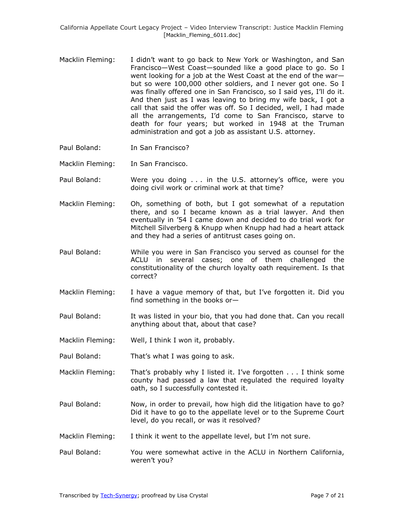- Macklin Fleming: I didn't want to go back to New York or Washington, and San Francisco—West Coast—sounded like a good place to go. So I went looking for a job at the West Coast at the end of the war but so were 100,000 other soldiers, and I never got one. So I was finally offered one in San Francisco, so I said yes, I'll do it. And then just as I was leaving to bring my wife back, I got a call that said the offer was off. So I decided, well, I had made all the arrangements, I'd come to San Francisco, starve to death for four years; but worked in 1948 at the Truman administration and got a job as assistant U.S. attorney.
- Paul Boland: In San Francisco?
- Macklin Fleming: In San Francisco.
- Paul Boland: Were you doing . . . in the U.S. attorney's office, were you doing civil work or criminal work at that time?
- Macklin Fleming: Oh, something of both, but I got somewhat of a reputation there, and so I became known as a trial lawyer. And then eventually in '54 I came down and decided to do trial work for Mitchell Silverberg & Knupp when Knupp had had a heart attack and they had a series of antitrust cases going on.
- Paul Boland: While you were in San Francisco you served as counsel for the ACLU in several cases; one of them challenged the constitutionality of the church loyalty oath requirement. Is that correct?
- Macklin Fleming: I have a vague memory of that, but I've forgotten it. Did you find something in the books or—
- Paul Boland: It was listed in your bio, that you had done that. Can you recall anything about that, about that case?
- Macklin Fleming: Well, I think I won it, probably.
- Paul Boland: That's what I was going to ask.
- Macklin Fleming: That's probably why I listed it. I've forgotten . . . I think some county had passed a law that regulated the required loyalty oath, so I successfully contested it.
- Paul Boland: Now, in order to prevail, how high did the litigation have to go? Did it have to go to the appellate level or to the Supreme Court level, do you recall, or was it resolved?
- Macklin Fleming: I think it went to the appellate level, but I'm not sure.
- Paul Boland: You were somewhat active in the ACLU in Northern California, weren't you?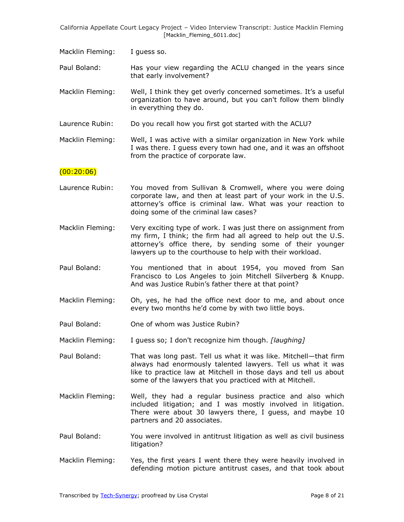Macklin Fleming: I guess so.

Paul Boland: Has your view regarding the ACLU changed in the years since that early involvement?

Macklin Fleming: Well, I think they get overly concerned sometimes. It's a useful organization to have around, but you can't follow them blindly in everything they do.

Laurence Rubin: Do you recall how you first got started with the ACLU?

Macklin Fleming: Well, I was active with a similar organization in New York while I was there. I guess every town had one, and it was an offshoot from the practice of corporate law.

#### $(00:20:06)$

- Laurence Rubin: You moved from Sullivan & Cromwell, where you were doing corporate law, and then at least part of your work in the U.S. attorney's office is criminal law. What was your reaction to doing some of the criminal law cases?
- Macklin Fleming: Very exciting type of work. I was just there on assignment from my firm, I think; the firm had all agreed to help out the U.S. attorney's office there, by sending some of their younger lawyers up to the courthouse to help with their workload.
- Paul Boland: You mentioned that in about 1954, you moved from San Francisco to Los Angeles to join Mitchell Silverberg & Knupp. And was Justice Rubin's father there at that point?
- Macklin Fleming: Oh, yes, he had the office next door to me, and about once every two months he'd come by with two little boys.
- Paul Boland: One of whom was Justice Rubin?
- Macklin Fleming: I guess so; I don't recognize him though. [laughing]
- Paul Boland: That was long past. Tell us what it was like. Mitchell—that firm always had enormously talented lawyers. Tell us what it was like to practice law at Mitchell in those days and tell us about some of the lawyers that you practiced with at Mitchell.
- Macklin Fleming: Well, they had a regular business practice and also which included litigation; and I was mostly involved in litigation. There were about 30 lawyers there, I guess, and maybe 10 partners and 20 associates.
- Paul Boland: You were involved in antitrust litigation as well as civil business litigation?
- Macklin Fleming: Yes, the first years I went there they were heavily involved in defending motion picture antitrust cases, and that took about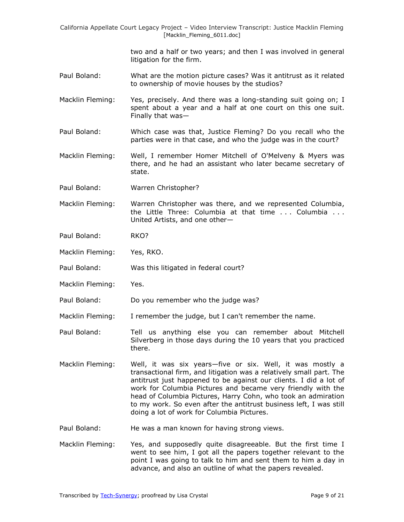> two and a half or two years; and then I was involved in general litigation for the firm.

- Paul Boland: What are the motion picture cases? Was it antitrust as it related to ownership of movie houses by the studios?
- Macklin Fleming: Yes, precisely. And there was a long-standing suit going on; I spent about a year and a half at one court on this one suit. Finally that was—
- Paul Boland: Which case was that, Justice Fleming? Do you recall who the parties were in that case, and who the judge was in the court?
- Macklin Fleming: Well, I remember Homer Mitchell of O'Melveny & Myers was there, and he had an assistant who later became secretary of state.
- Paul Boland: Warren Christopher?

Macklin Fleming: Warren Christopher was there, and we represented Columbia, the Little Three: Columbia at that time . . . Columbia . . . United Artists, and one other—

- Paul Boland: RKO?
- Macklin Fleming: Yes, RKO.
- Paul Boland: Was this litigated in federal court?
- Macklin Fleming: Yes.
- Paul Boland: Do you remember who the judge was?
- Macklin Fleming: I remember the judge, but I can't remember the name.
- Paul Boland: Tell us anything else you can remember about Mitchell Silverberg in those days during the 10 years that you practiced there.
- Macklin Fleming: Well, it was six years—five or six. Well, it was mostly a transactional firm, and litigation was a relatively small part. The antitrust just happened to be against our clients. I did a lot of work for Columbia Pictures and became very friendly with the head of Columbia Pictures, Harry Cohn, who took an admiration to my work. So even after the antitrust business left, I was still doing a lot of work for Columbia Pictures.
- Paul Boland: He was a man known for having strong views.
- Macklin Fleming: Yes, and supposedly quite disagreeable. But the first time I went to see him, I got all the papers together relevant to the point I was going to talk to him and sent them to him a day in advance, and also an outline of what the papers revealed.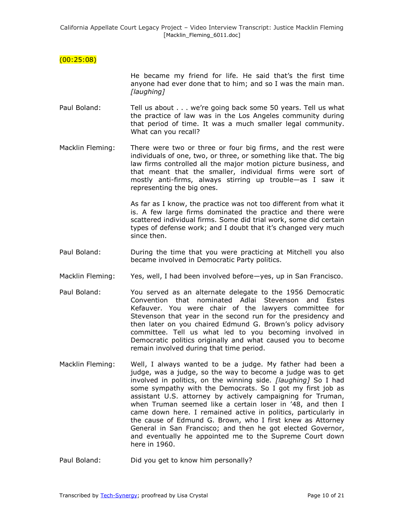# (00:25:08)

He became my friend for life. He said that's the first time anyone had ever done that to him; and so I was the main man. *[laughing]*

- Paul Boland: Tell us about . . . we're going back some 50 years. Tell us what the practice of law was in the Los Angeles community during that period of time. It was a much smaller legal community. What can you recall?
- Macklin Fleming: There were two or three or four big firms, and the rest were individuals of one, two, or three, or something like that. The big law firms controlled all the major motion picture business, and that meant that the smaller, individual firms were sort of mostly anti-firms, always stirring up trouble—as I saw it representing the big ones.

As far as I know, the practice was not too different from what it is. A few large firms dominated the practice and there were scattered individual firms. Some did trial work, some did certain types of defense work; and I doubt that it's changed very much since then.

- Paul Boland: During the time that you were practicing at Mitchell you also became involved in Democratic Party politics.
- Macklin Fleming: Yes, well, I had been involved before—yes, up in San Francisco.
- Paul Boland: You served as an alternate delegate to the 1956 Democratic Convention that nominated Adlai Stevenson and Estes Kefauver. You were chair of the lawyers committee for Stevenson that year in the second run for the presidency and then later on you chaired Edmund G. Brown's policy advisory committee. Tell us what led to you becoming involved in Democratic politics originally and what caused you to become remain involved during that time period.
- Macklin Fleming: Well, I always wanted to be a judge. My father had been a judge, was a judge, so the way to become a judge was to get involved in politics, on the winning side. *[laughing]* So I had some sympathy with the Democrats. So I got my first job as assistant U.S. attorney by actively campaigning for Truman, when Truman seemed like a certain loser in '48, and then I came down here. I remained active in politics, particularly in the cause of Edmund G. Brown, who I first knew as Attorney General in San Francisco; and then he got elected Governor, and eventually he appointed me to the Supreme Court down here in 1960.
- Paul Boland: Did you get to know him personally?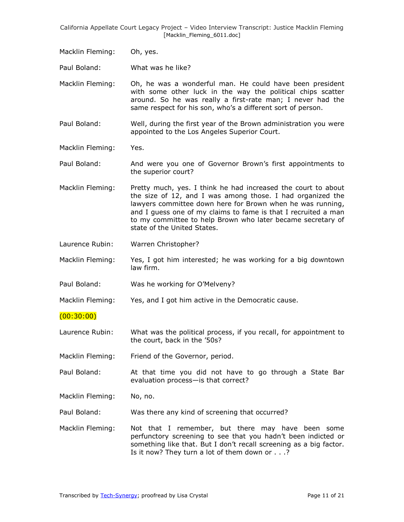Macklin Fleming: Oh, yes.

Paul Boland: What was he like?

Macklin Fleming: Oh, he was a wonderful man. He could have been president with some other luck in the way the political chips scatter around. So he was really a first-rate man; I never had the same respect for his son, who's a different sort of person.

Paul Boland: Well, during the first year of the Brown administration you were appointed to the Los Angeles Superior Court.

Macklin Fleming: Yes.

Paul Boland: And were you one of Governor Brown's first appointments to the superior court?

Macklin Fleming: Pretty much, yes. I think he had increased the court to about the size of 12, and I was among those. I had organized the lawyers committee down here for Brown when he was running, and I guess one of my claims to fame is that I recruited a man to my committee to help Brown who later became secretary of state of the United States.

Laurence Rubin: Warren Christopher?

Macklin Fleming: Yes, I got him interested; he was working for a big downtown law firm.

Paul Boland: Was he working for [O'Melveny](http://en.wikipedia.org/wiki/O%27Melveny_%26_Myers_LLP)?

Macklin Fleming: Yes, and I got him active in the Democratic cause.

 $(00:30:00)$ 

Laurence Rubin: What was the political process, if you recall, for appointment to the court, back in the '50s?

Macklin Fleming: Friend of the Governor, period.

Paul Boland: At that time you did not have to go through a State Bar evaluation process—is that correct?

Macklin Fleming: No, no.

Paul Boland: Was there any kind of screening that occurred?

Macklin Fleming: Not that I remember, but there may have been some perfunctory screening to see that you hadn't been indicted or something like that. But I don't recall screening as a big factor. Is it now? They turn a lot of them down or . . .?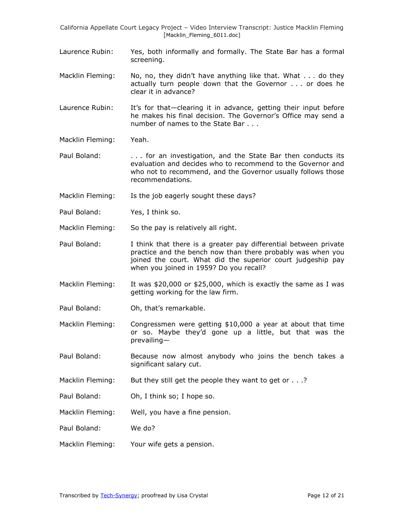- Laurence Rubin: Yes, both informally and formally. The State Bar has a formal screening.
- Macklin Fleming: No, no, they didn't have anything like that. What . . . do they actually turn people down that the Governor . . . or does he clear it in advance?
- Laurence Rubin: It's for that-clearing it in advance, getting their input before he makes his final decision. The Governor's Office may send a number of names to the State Bar . . .

Macklin Fleming: Yeah.

- Paul Boland: ... for an investigation, and the State Bar then conducts its evaluation and decides who to recommend to the Governor and who not to recommend, and the Governor usually follows those recommendations.
- Macklin Fleming: Is the job eagerly sought these days?
- Paul Boland: Yes, I think so.
- Macklin Fleming: So the pay is relatively all right.
- Paul Boland: I think that there is a greater pay differential between private practice and the bench now than there probably was when you joined the court. What did the superior court judgeship pay when you joined in 1959? Do you recall?
- Macklin Fleming: It was \$20,000 or \$25,000, which is exactly the same as I was getting working for the law firm.
- Paul Boland: Oh, that's remarkable.
- Macklin Fleming: Congressmen were getting \$10,000 a year at about that time or so. Maybe they'd gone up a little, but that was the prevailing—
- Paul Boland: Because now almost anybody who joins the bench takes a significant salary cut.
- Macklin Fleming: But they still get the people they want to get or . . .?
- Paul Boland: Oh, I think so; I hope so.
- Macklin Fleming: Well, you have a fine pension.
- Paul Boland: We do?
- Macklin Fleming: Your wife gets a pension.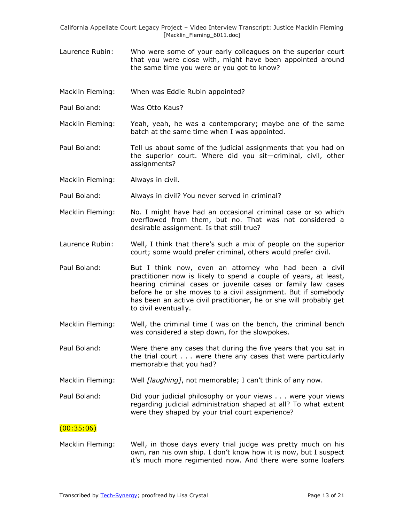- Laurence Rubin: Who were some of your early colleagues on the superior court that you were close with, might have been appointed around the same time you were or you got to know?
- Macklin Fleming: When was Eddie Rubin appointed?
- Paul Boland: Was Otto Kaus?
- Macklin Fleming: Yeah, yeah, he was a contemporary; maybe one of the same batch at the same time when I was appointed.
- Paul Boland: Tell us about some of the judicial assignments that you had on the superior court. Where did you sit—criminal, civil, other assignments?
- Macklin Fleming: Always in civil.
- Paul Boland: Always in civil? You never served in criminal?
- Macklin Fleming: No. I might have had an occasional criminal case or so which overflowed from them, but no. That was not considered a desirable assignment. Is that still true?
- Laurence Rubin: Well, I think that there's such a mix of people on the superior court; some would prefer criminal, others would prefer civil.
- Paul Boland: But I think now, even an attorney who had been a civil practitioner now is likely to spend a couple of years, at least, hearing criminal cases or juvenile cases or family law cases before he or she moves to a civil assignment. But if somebody has been an active civil practitioner, he or she will probably get to civil eventually.
- Macklin Fleming: Well, the criminal time I was on the bench, the criminal bench was considered a step down, for the slowpokes.
- Paul Boland: Were there any cases that during the five years that you sat in the trial court . . . were there any cases that were particularly memorable that you had?
- Macklin Fleming: Well *[laughing]*, not memorable; I can't think of any now.
- Paul Boland: Did your judicial philosophy or your views . . . were your views regarding judicial administration shaped at all? To what extent were they shaped by your trial court experience?

## $(00:35:06)$

Macklin Fleming: Well, in those days every trial judge was pretty much on his own, ran his own ship. I don't know how it is now, but I suspect it's much more regimented now. And there were some loafers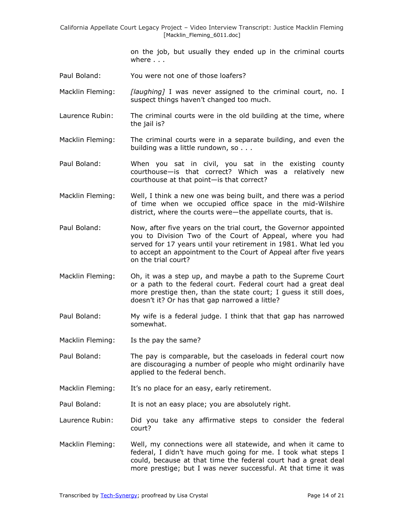> on the job, but usually they ended up in the criminal courts where . . .

- Paul Boland: You were not one of those loafers?
- Macklin Fleming: *[laughing]* I was never assigned to the criminal court, no. I suspect things haven't changed too much.
- Laurence Rubin: The criminal courts were in the old building at the time, where the jail is?
- Macklin Fleming: The criminal courts were in a separate building, and even the building was a little rundown, so . . .
- Paul Boland: When you sat in civil, you sat in the existing county courthouse—is that correct? Which was a relatively new courthouse at that point—is that correct?
- Macklin Fleming: Well, I think a new one was being built, and there was a period of time when we occupied office space in the mid-Wilshire district, where the courts were—the appellate courts, that is.
- Paul Boland: Now, after five years on the trial court, the Governor appointed you to Division Two of the Court of Appeal, where you had served for 17 years until your retirement in 1981. What led you to accept an appointment to the Court of Appeal after five years on the trial court?
- Macklin Fleming: Oh, it was a step up, and maybe a path to the Supreme Court or a path to the federal court. Federal court had a great deal more prestige then, than the state court; I guess it still does, doesn't it? Or has that gap narrowed a little?
- Paul Boland: My wife is a federal judge. I think that that gap has narrowed somewhat.
- Macklin Fleming: Is the pay the same?
- Paul Boland: The pay is comparable, but the caseloads in federal court now are discouraging a number of people who might ordinarily have applied to the federal bench.
- Macklin Fleming: It's no place for an easy, early retirement.
- Paul Boland: It is not an easy place; you are absolutely right.
- Laurence Rubin: Did you take any affirmative steps to consider the federal court?
- Macklin Fleming: Well, my connections were all statewide, and when it came to federal, I didn't have much going for me. I took what steps I could, because at that time the federal court had a great deal more prestige; but I was never successful. At that time it was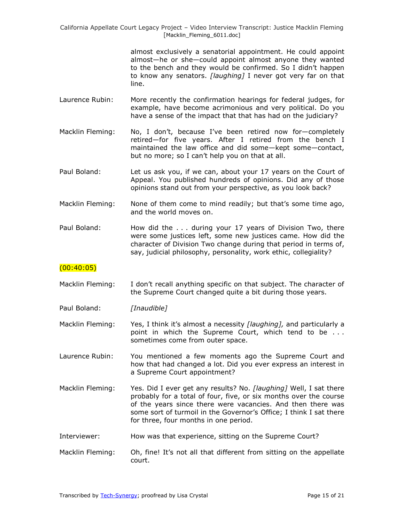> almost exclusively a senatorial appointment. He could appoint almost—he or she—could appoint almost anyone they wanted to the bench and they would be confirmed. So I didn't happen to know any senators. *[laughing]* I never got very far on that line.

- Laurence Rubin: More recently the confirmation hearings for federal judges, for example, have become acrimonious and very political. Do you have a sense of the impact that that has had on the judiciary?
- Macklin Fleming: No, I don't, because I've been retired now for—completely retired—for five years. After I retired from the bench I maintained the law office and did some—kept some—contact, but no more; so I can't help you on that at all.
- Paul Boland: Let us ask you, if we can, about your 17 years on the Court of Appeal. You published hundreds of opinions. Did any of those opinions stand out from your perspective, as you look back?
- Macklin Fleming: None of them come to mind readily; but that's some time ago, and the world moves on.
- Paul Boland: How did the . . . during your 17 years of Division Two, there were some justices left, some new justices came. How did the character of Division Two change during that period in terms of, say, judicial philosophy, personality, work ethic, collegiality?

# $(00:40:05)$

Macklin Fleming: I don't recall anything specific on that subject. The character of the Supreme Court changed quite a bit during those years.

Paul Boland: *[Inaudible]*

Macklin Fleming: Yes, I think it's almost a necessity *[laughing]*, and particularly a point in which the Supreme Court, which tend to be . . . sometimes come from outer space.

Laurence Rubin: You mentioned a few moments ago the Supreme Court and how that had changed a lot. Did you ever express an interest in a Supreme Court appointment?

- Macklin Fleming: Yes. Did I ever get any results? No. *[laughing]* Well, I sat there probably for a total of four, five, or six months over the course of the years since there were vacancies. And then there was some sort of turmoil in the Governor's Office; I think I sat there for three, four months in one period.
- Interviewer: How was that experience, sitting on the Supreme Court?
- Macklin Fleming: Oh, fine! It's not all that different from sitting on the appellate court.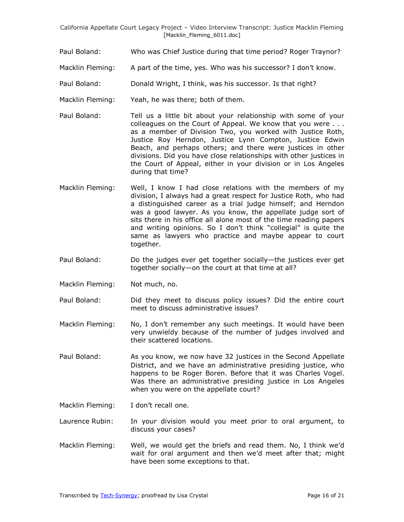- Paul Boland: Who was Chief Justice during that time period? Roger Traynor?
- Macklin Fleming: A part of the time, yes. Who was his successor? I don't know.
- Paul Boland: Donald Wright, I think, was his successor. Is that right?
- Macklin Fleming: Yeah, he was there; both of them.
- Paul Boland: Tell us a little bit about your relationship with some of your colleagues on the Court of Appeal. We know that you were . . . as a member of Division Two, you worked with Justice Roth, Justice Roy Herndon, Justice Lynn Compton, Justice Edwin Beach, and perhaps others; and there were justices in other divisions. Did you have close relationships with other justices in the Court of Appeal, either in your division or in Los Angeles during that time?
- Macklin Fleming: Well, I know I had close relations with the members of my division, I always had a great respect for Justice Roth, who had a distinguished career as a trial judge himself; and Herndon was a good lawyer. As you know, the appellate judge sort of sits there in his office all alone most of the time reading papers and writing opinions. So I don't think "collegial" is quite the same as lawyers who practice and maybe appear to court together.
- Paul Boland: Do the judges ever get together socially—the justices ever get together socially—on the court at that time at all?
- Macklin Fleming: Not much, no.
- Paul Boland: Did they meet to discuss policy issues? Did the entire court meet to discuss administrative issues?
- Macklin Fleming: No, I don't remember any such meetings. It would have been very unwieldy because of the number of judges involved and their scattered locations.
- Paul Boland: As you know, we now have 32 justices in the Second Appellate District, and we have an administrative presiding justice, who happens to be Roger Boren. Before that it was Charles Vogel. Was there an administrative presiding justice in Los Angeles when you were on the appellate court?
- Macklin Fleming: I don't recall one.
- Laurence Rubin: In your division would you meet prior to oral argument, to discuss your cases?
- Macklin Fleming: Well, we would get the briefs and read them. No, I think we'd wait for oral argument and then we'd meet after that; might have been some exceptions to that.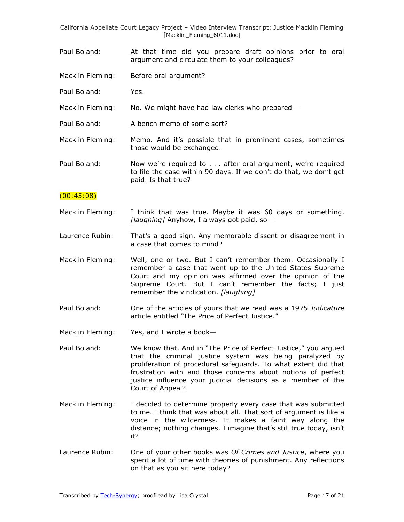- Paul Boland: At that time did you prepare draft opinions prior to oral argument and circulate them to your colleagues?
- Macklin Fleming: Before oral argument?
- Paul Boland: Yes.
- Macklin Fleming: No. We might have had law clerks who prepared—
- Paul Boland: A bench memo of some sort?
- Macklin Fleming: Memo. And it's possible that in prominent cases, sometimes those would be exchanged.
- Paul Boland: Now we're required to . . . after oral argument, we're required to file the case within 90 days. If we don't do that, we don't get paid. Is that true?

#### $(00:45:08)$

- Macklin Fleming: I think that was true. Maybe it was 60 days or something. *[laughing]* Anyhow, I always got paid, so—
- Laurence Rubin: That's a good sign. Any memorable dissent or disagreement in a case that comes to mind?
- Macklin Fleming: Well, one or two. But I can't remember them. Occasionally I remember a case that went up to the United States Supreme Court and my opinion was affirmed over the opinion of the Supreme Court. But I can't remember the facts; I just remember the vindication. *[laughing]*
- Paul Boland: One of the articles of yours that we read was a 1975 *Judicature* article entitled "The Price of Perfect Justice."
- Macklin Fleming: Yes, and I wrote a book-
- Paul Boland: We know that. And in "The Price of Perfect Justice," you argued that the criminal justice system was being paralyzed by proliferation of procedural safeguards. To what extent did that frustration with and those concerns about notions of perfect justice influence your judicial decisions as a member of the Court of Appeal?
- Macklin Fleming: I decided to determine properly every case that was submitted to me. I think that was about all. That sort of argument is like a voice in the wilderness. It makes a faint way along the distance; nothing changes. I imagine that's still true today, isn't it?
- Laurence Rubin: One of your other books was *Of Crimes and Justice*, where you spent a lot of time with theories of punishment. Any reflections on that as you sit here today?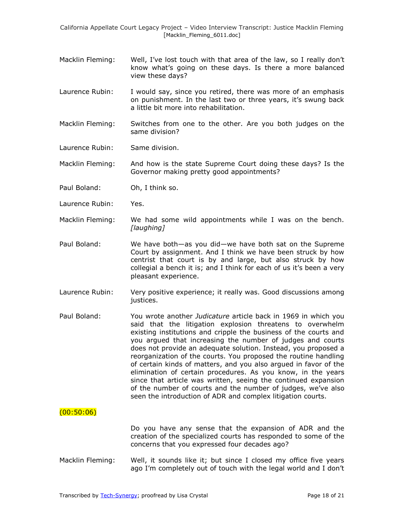- Macklin Fleming: Well, I've lost touch with that area of the law, so I really don't know what's going on these days. Is there a more balanced view these days?
- Laurence Rubin: I would say, since you retired, there was more of an emphasis on punishment. In the last two or three years, it's swung back a little bit more into rehabilitation.
- Macklin Fleming: Switches from one to the other. Are you both judges on the same division?
- Laurence Rubin: Same division.

Macklin Fleming: And how is the state Supreme Court doing these days? Is the Governor making pretty good appointments?

- Paul Boland: Oh, I think so.
- Laurence Rubin: Yes.
- Macklin Fleming: We had some wild appointments while I was on the bench. *[laughing]*
- Paul Boland: We have both—as you did—we have both sat on the Supreme Court by assignment. And I think we have been struck by how centrist that court is by and large, but also struck by how collegial a bench it is; and I think for each of us it's been a very pleasant experience.
- Laurence Rubin: Very positive experience; it really was. Good discussions among justices.
- Paul Boland: You wrote another *Judicature* article back in 1969 in which you said that the litigation explosion threatens to overwhelm existing institutions and cripple the business of the courts and you argued that increasing the number of judges and courts does not provide an adequate solution. Instead, you proposed a reorganization of the courts. You proposed the routine handling of certain kinds of matters, and you also argued in favor of the elimination of certain procedures. As you know, in the years since that article was written, seeing the continued expansion of the number of courts and the number of judges, we've also seen the introduction of ADR and complex litigation courts.

#### $(00:50:06)$

Do you have any sense that the expansion of ADR and the creation of the specialized courts has responded to some of the concerns that you expressed four decades ago?

Macklin Fleming: Well, it sounds like it; but since I closed my office five years ago I'm completely out of touch with the legal world and I don't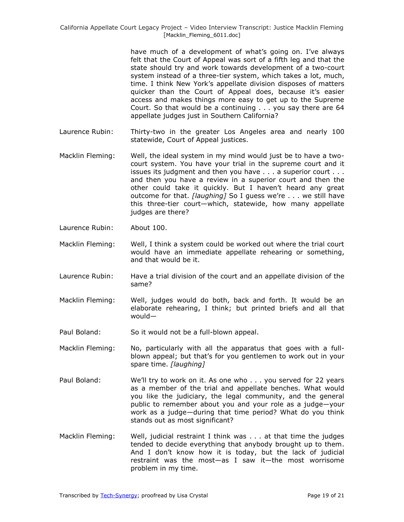have much of a development of what's going on. I've always felt that the Court of Appeal was sort of a fifth leg and that the state should try and work towards development of a two-court system instead of a three-tier system, which takes a lot, much, time. I think New York's appellate division disposes of matters quicker than the Court of Appeal does, because it's easier access and makes things more easy to get up to the Supreme Court. So that would be a continuing . . . you say there are 64 appellate judges just in Southern California?

- Laurence Rubin: Thirty-two in the greater Los Angeles area and nearly 100 statewide, Court of Appeal justices.
- Macklin Fleming: Well, the ideal system in my mind would just be to have a twocourt system. You have your trial in the supreme court and it issues its judgment and then you have . . . a superior court . . . and then you have a review in a superior court and then the other could take it quickly. But I haven't heard any great outcome for that. *[laughing]* So I guess we're . . . we still have this three-tier court—which, statewide, how many appellate judges are there?
- Laurence Rubin: About 100.
- Macklin Fleming: Well, I think a system could be worked out where the trial court would have an immediate appellate rehearing or something, and that would be it.
- Laurence Rubin: Have a trial division of the court and an appellate division of the same?
- Macklin Fleming: Well, judges would do both, back and forth. It would be an elaborate rehearing, I think; but printed briefs and all that would—
- Paul Boland: So it would not be a full-blown appeal.
- Macklin Fleming: No, particularly with all the apparatus that goes with a fullblown appeal; but that's for you gentlemen to work out in your spare time. *[laughing]*
- Paul Boland: We'll try to work on it. As one who . . . you served for 22 years as a member of the trial and appellate benches. What would you like the judiciary, the legal community, and the general public to remember about you and your role as a judge—your work as a judge—during that time period? What do you think stands out as most significant?
- Macklin Fleming: Well, judicial restraint I think was . . . at that time the judges tended to decide everything that anybody brought up to them. And I don't know how it is today, but the lack of judicial restraint was the most—as I saw it—the most worrisome problem in my time.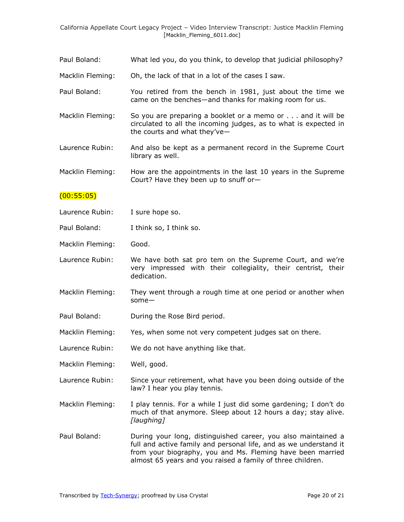- Paul Boland: What led you, do you think, to develop that judicial philosophy?
- Macklin Fleming: Oh, the lack of that in a lot of the cases I saw.
- Paul Boland: You retired from the bench in 1981, just about the time we came on the benches—and thanks for making room for us.
- Macklin Fleming: So you are preparing a booklet or a memo or . . . and it will be circulated to all the incoming judges, as to what is expected in the courts and what they've—
- Laurence Rubin: And also be kept as a permanent record in the Supreme Court library as well.

Macklin Fleming: How are the appointments in the last 10 years in the Supreme Court? Have they been up to snuff or—

## $(00:55:05)$

- Laurence Rubin: I sure hope so.
- Paul Boland: I think so, I think so.
- Macklin Fleming: Good.
- Laurence Rubin: We have both sat pro tem on the Supreme Court, and we're very impressed with their collegiality, their centrist, their dedication.
- Macklin Fleming: They went through a rough time at one period or another when some—
- Paul Boland: During the Rose Bird period.
- Macklin Fleming: Yes, when some not very competent judges sat on there.
- Laurence Rubin: We do not have anything like that.
- Macklin Fleming: Well, good.
- Laurence Rubin: Since your retirement, what have you been doing outside of the law? I hear you play tennis.
- Macklin Fleming: I play tennis. For a while I just did some gardening; I don't do much of that anymore. Sleep about 12 hours a day; stay alive. *[laughing]*
- Paul Boland: During your long, distinguished career, you also maintained a full and active family and personal life, and as we understand it from your biography, you and Ms. Fleming have been married almost 65 years and you raised a family of three children.